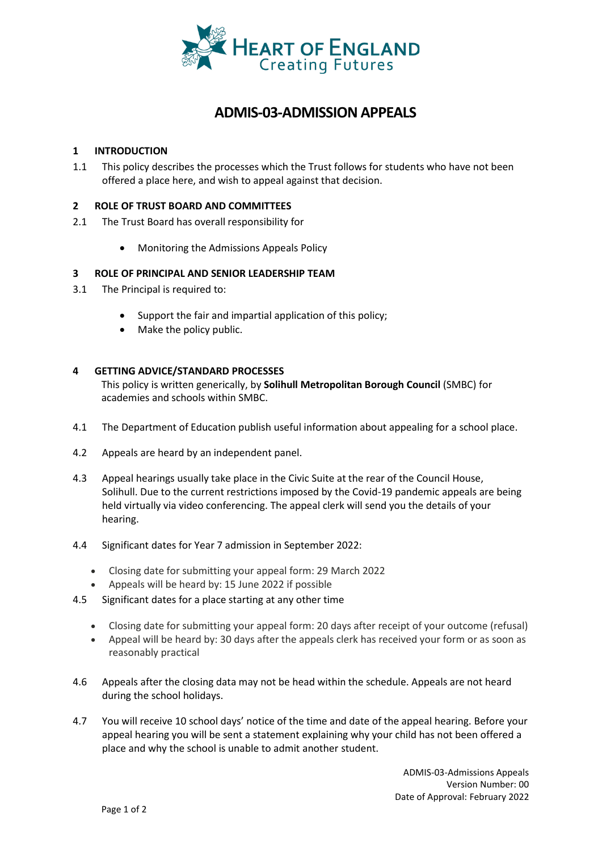

# **ADMIS-03-ADMISSION APPEALS**

### **1 INTRODUCTION**

1.1 This policy describes the processes which the Trust follows for students who have not been offered a place here, and wish to appeal against that decision.

#### **2 ROLE OF TRUST BOARD AND COMMITTEES**

- 2.1 The Trust Board has overall responsibility for
	- Monitoring the Admissions Appeals Policy

#### **3 ROLE OF PRINCIPAL AND SENIOR LEADERSHIP TEAM**

- 3.1 The Principal is required to:
	- Support the fair and impartial application of this policy;
	- Make the policy public.

#### **4 GETTING ADVICE/STANDARD PROCESSES**

This policy is written generically, by **Solihull Metropolitan Borough Council** (SMBC) for academies and schools within SMBC.

- 4.1 The Department of Education publish useful information about appealing for a school place.
- 4.2 Appeals are heard by an independent panel.
- 4.3 Appeal hearings usually take place in the Civic Suite at the rear of the Council House, Solihull. Due to the current restrictions imposed by the Covid-19 pandemic appeals are being held virtually via video conferencing. The appeal clerk will send you the details of your hearing.
- 4.4 Significant dates for Year 7 admission in September 2022:
	- Closing date for submitting your appeal form: 29 March 2022
	- Appeals will be heard by: 15 June 2022 if possible
- 4.5 Significant dates for a place starting at any other time
	- Closing date for submitting your appeal form: 20 days after receipt of your outcome (refusal)
	- Appeal will be heard by: 30 days after the appeals clerk has received your form or as soon as reasonably practical
- 4.6 Appeals after the closing data may not be head within the schedule. Appeals are not heard during the school holidays.
- 4.7 You will receive 10 school days' notice of the time and date of the appeal hearing. Before your appeal hearing you will be sent a statement explaining why your child has not been offered a place and why the school is unable to admit another student.